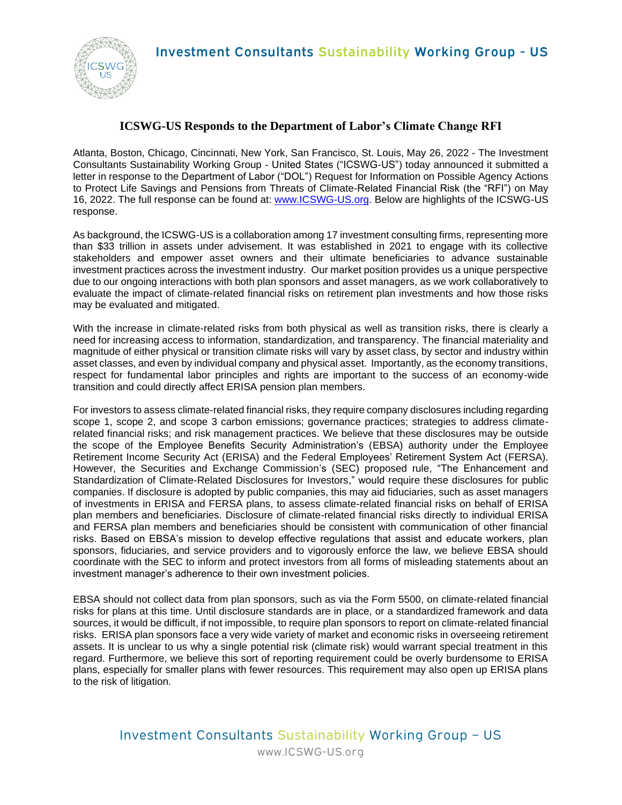

## **ICSWG-US Responds to the Department of Labor's Climate Change RFI**

Atlanta, Boston, Chicago, Cincinnati, New York, San Francisco, St. Louis, May 26, 2022 - The Investment Consultants Sustainability Working Group - United States ("ICSWG-US") today announced it submitted a letter in response to the Department of Labor ("DOL") Request for Information on Possible Agency Actions to Protect Life Savings and Pensions from Threats of Climate-Related Financial Risk (the "RFI") on May 16, 2022. The full response can be found at: www.ICSWG-US.org. Below are highlights of the ICSWG-US response.

As background, the ICSWG-US is a collaboration among 17 investment consulting firms, representing more than \$33 trillion in assets under advisement. It was established in 2021 to engage with its collective stakeholders and empower asset owners and their ultimate beneficiaries to advance sustainable investment practices across the investment industry. Our market position provides us a unique perspective due to our ongoing interactions with both plan sponsors and asset managers, as we work collaboratively to evaluate the impact of climate-related financial risks on retirement plan investments and how those risks may be evaluated and mitigated.

With the increase in climate-related risks from both physical as well as transition risks, there is clearly a need for increasing access to information, standardization, and transparency. The financial materiality and magnitude of either physical or transition climate risks will vary by asset class, by sector and industry within asset classes, and even by individual company and physical asset. Importantly, as the economy transitions, respect for fundamental labor principles and rights are important to the success of an economy-wide transition and could directly affect ERISA pension plan members.

For investors to assess climate-related financial risks, they require company disclosures including regarding scope 1, scope 2, and scope 3 carbon emissions; governance practices; strategies to address climaterelated financial risks; and risk management practices. We believe that these disclosures may be outside the scope of the Employee Benefits Security Administration's (EBSA) authority under the Employee Retirement Income Security Act (ERISA) and the Federal Employees' Retirement System Act (FERSA). However, the Securities and Exchange Commission's (SEC) proposed rule, "The Enhancement and Standardization of Climate-Related Disclosures for Investors," would require these disclosures for public companies. If disclosure is adopted by public companies, this may aid fiduciaries, such as asset managers of investments in ERISA and FERSA plans, to assess climate-related financial risks on behalf of ERISA plan members and beneficiaries. Disclosure of climate-related financial risks directly to individual ERISA and FERSA plan members and beneficiaries should be consistent with communication of other financial risks. Based on EBSA's mission to develop effective regulations that assist and educate workers, plan sponsors, fiduciaries, and service providers and to vigorously enforce the law, we believe EBSA should coordinate with the SEC to inform and protect investors from all forms of misleading statements about an investment manager's adherence to their own investment policies.

EBSA should not collect data from plan sponsors, such as via the Form 5500, on climate-related financial risks for plans at this time. Until disclosure standards are in place, or a standardized framework and data sources, it would be difficult, if not impossible, to require plan sponsors to report on climate-related financial risks. ERISA plan sponsors face a very wide variety of market and economic risks in overseeing retirement assets. It is unclear to us why a single potential risk (climate risk) would warrant special treatment in this regard. Furthermore, we believe this sort of reporting requirement could be overly burdensome to ERISA plans, especially for smaller plans with fewer resources. This requirement may also open up ERISA plans to the risk of litigation.